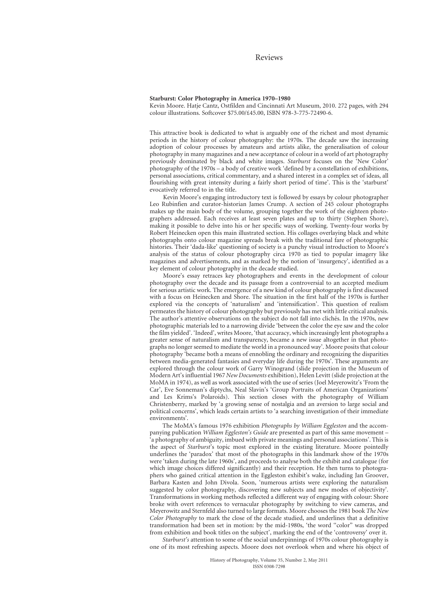### Reviews

#### Starburst: Color Photography in America 1970–1980

Kevin Moore. Hatje Cantz, Ostfilden and Cincinnati Art Museum, 2010. 272 pages, with 294 colour illustrations. Softcover \$75.00/£45.00, ISBN 978-3-775-72490-6.

This attractive book is dedicated to what is arguably one of the richest and most dynamic periods in the history of colour photography: the 1970s. The decade saw the increasing adoption of colour processes by amateurs and artists alike, the generalisation of colour photography in many magazines and a new acceptance of colour in a world of art photography previously dominated by black and white images. Starburst focuses on the 'New Color' photography of the 1970s – a body of creative work 'defined by a constellation of exhibitions, personal associations, critical commentary, and a shared interest in a complex set of ideas, all flourishing with great intensity during a fairly short period of time'. This is the 'starburst' evocatively referred to in the title.

Kevin Moore's engaging introductory text is followed by essays by colour photographer Leo Rubinfien and curator-historian James Crump. A section of 245 colour photographs makes up the main body of the volume, grouping together the work of the eighteen photographers addressed. Each receives at least seven plates and up to thirty (Stephen Shore), making it possible to delve into his or her specific ways of working. Twenty-four works by Robert Heinecken open this main illustrated section. His collages overlaying black and white photographs onto colour magazine spreads break with the traditional fare of photographic histories. Their 'dada-like' questioning of society is a punchy visual introduction to Moore's analysis of the status of colour photography circa 1970 as tied to popular imagery like magazines and advertisements, and as marked by the notion of 'insurgency', identified as a key element of colour photography in the decade studied.

Moore's essay retraces key photographers and events in the development of colour photography over the decade and its passage from a controversial to an accepted medium for serious artistic work. The emergence of a new kind of colour photography is first discussed with a focus on Heinecken and Shore. The situation in the first half of the 1970s is further explored via the concepts of 'naturalism' and 'intensification'. This question of realism permeates the history of colour photography but previously has met with little critical analysis. The author's attentive observations on the subject do not fall into clichés. In the 1970s, new photographic materials led to a narrowing divide 'between the color the eye saw and the color the film yielded'. 'Indeed', writes Moore, 'that accuracy, which increasingly lent photographs a greater sense of naturalism and transparency, became a new issue altogether in that photographs no longer seemed to mediate the world in a pronounced way'. Moore posits that colour photography 'became both a means of ennobling the ordinary and recognizing the disparities between media-generated fantasies and everyday life during the 1970s'. These arguments are explored through the colour work of Garry Winogrand (slide projection in the Museum of Modern Art's influential 1967 New Documents exhibition), Helen Levitt (slide projection at the MoMA in 1974), as well as work associated with the use of series (Joel Meyerowitz's 'From the Car', Eve Sonneman's diptychs, Neal Slavin's 'Group Portraits of American Organizations' and Les Krims's Polaroids). This section closes with the photography of William Christenberry, marked by 'a growing sense of nostalgia and an aversion to large social and political concerns', which leads certain artists to 'a searching investigation of their immediate environments'.

The MoMA's famous 1976 exhibition Photographs by William Eggleston and the accompanying publication William Eggleston's Guide are presented as part of this same movement – 'a photography of ambiguity, imbued with private meanings and personal associations'. This is the aspect of Starburst's topic most explored in the existing literature. Moore pointedly underlines the 'paradox' that most of the photographs in this landmark show of the 1970s were 'taken during the late 1960s', and proceeds to analyse both the exhibit and catalogue (for which image choices differed significantly) and their reception. He then turns to photographers who gained critical attention in the Eggleston exhibit's wake, including Jan Groover, Barbara Kasten and John Divola. Soon, 'numerous artists were exploring the naturalism suggested by color photography, discovering new subjects and new modes of objectivity'. Transformations in working methods reflected a different way of engaging with colour: Shore broke with overt references to vernacular photography by switching to view cameras, and Meyerowitz and Sternfeld also turned to large formats. Moore chooses the 1981 book The New Color Photography to mark the close of the decade studied, and underlines that a definitive transformation had been set in motion: by the mid-1980s, 'the word ''color'' was dropped from exhibition and book titles on the subject', marking the end of the 'controversy' over it.

Starburst's attention to some of the social underpinnings of 1970s colour photography is one of its most refreshing aspects. Moore does not overlook when and where his object of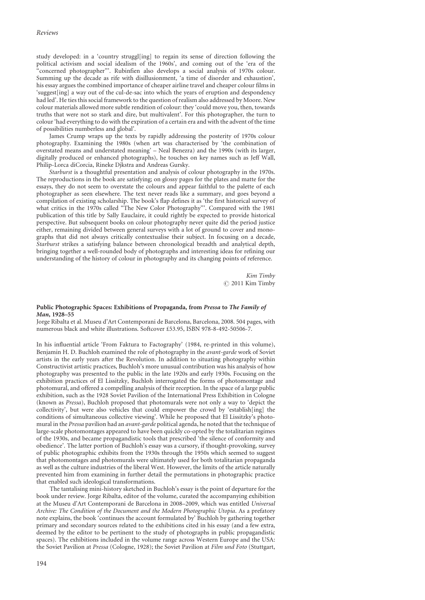study developed: in a 'country struggl[ing] to regain its sense of direction following the political activism and social idealism of the 1960s', and coming out of the 'era of the ''concerned photographer'''. Rubinfien also develops a social analysis of 1970s colour. Summing up the decade as rife with disillusionment, 'a time of disorder and exhaustion', his essay argues the combined importance of cheaper airline travel and cheaper colour films in 'suggest[ing] a way out of the cul-de-sac into which the years of eruption and despondency had led'. He ties this social framework to the question of realism also addressed by Moore. New colour materials allowed more subtle rendition of colour: they 'could move you, then, towards truths that were not so stark and dire, but multivalent'. For this photographer, the turn to colour 'had everything to do with the expiration of a certain era and with the advent of the time of possibilities numberless and global'.

James Crump wraps up the texts by rapidly addressing the posterity of 1970s colour photography. Examining the 1980s (when art was characterised by 'the combination of overstated means and understated meaning' – Neal Benezra) and the 1990s (with its larger, digitally produced or enhanced photographs), he touches on key names such as Jeff Wall, Philip-Lorca diCorcia, Rineke Djkstra and Andreas Gursky.

Starburst is a thoughtful presentation and analysis of colour photography in the 1970s. The reproductions in the book are satisfying; on glossy pages for the plates and matte for the essays, they do not seem to overstate the colours and appear faithful to the palette of each photographer as seen elsewhere. The text never reads like a summary, and goes beyond a compilation of existing scholarship. The book's flap defines it as 'the first historical survey of what critics in the 1970s called ''The New Color Photography'''. Compared with the 1981 publication of this title by Sally Eauclaire, it could rightly be expected to provide historical perspective. But subsequent books on colour photography never quite did the period justice either, remaining divided between general surveys with a lot of ground to cover and monographs that did not always critically contextualise their subject. In focusing on a decade, Starburst strikes a satisfying balance between chronological breadth and analytical depth, bringing together a well-rounded body of photographs and interesting ideas for refining our understanding of the history of colour in photography and its changing points of reference.

> Kim Timby  $\circ$  2011 Kim Timby

#### Public Photographic Spaces: Exhibitions of Propaganda, from Pressa to The Family of Man, 1928–55

Jorge Ribalta et al. Museu d'Art Contemporani de Barcelona, Barcelona, 2008. 504 pages, with numerous black and white illustrations. Softcover £53.95, ISBN 978-8-492-50506-7.

In his influential article 'From Faktura to Factography' (1984, re-printed in this volume), Benjamin H. D. Buchloh examined the role of photography in the *avant-garde* work of Soviet artists in the early years after the Revolution. In addition to situating photography within Constructivist artistic practices, Buchloh's more unusual contribution was his analysis of how photography was presented to the public in the late 1920s and early 1930s. Focusing on the exhibition practices of El Lissitzky, Buchloh interrogated the forms of photomontage and photomural, and offered a compelling analysis of their reception. In the space of a large public exhibition, such as the 1928 Soviet Pavilion of the International Press Exhibition in Cologne (known as Pressa), Buchloh proposed that photomurals were not only a way to 'depict the collectivity', but were also vehicles that could empower the crowd by 'establish[ing] the conditions of simultaneous collective viewing'. While he proposed that El Lissitzky's photomural in the Pressa pavilion had an avant-garde political agenda, he noted that the technique of large-scale photomontages appeared to have been quickly co-opted by the totalitarian regimes of the 1930s, and became propagandistic tools that prescribed 'the silence of conformity and obedience'. The latter portion of Buchloh's essay was a cursory, if thought-provoking, survey of public photographic exhibits from the 1930s through the 1950s which seemed to suggest that photomontages and photomurals were ultimately used for both totalitarian propaganda as well as the culture industries of the liberal West. However, the limits of the article naturally prevented him from examining in further detail the permutations in photographic practice that enabled such ideological transformations.

The tantalising mini-history sketched in Buchloh's essay is the point of departure for the book under review. Jorge Ribalta, editor of the volume, curated the accompanying exhibition at the Museu d'Art Contemporani de Barcelona in 2008–2009, which was entitled Universal Archive: The Condition of the Document and the Modern Photographic Utopia. As a prefatory note explains, the book 'continues the account formulated by' Buchloh by gathering together primary and secondary sources related to the exhibitions cited in his essay (and a few extra, deemed by the editor to be pertinent to the study of photographs in public propagandistic spaces). The exhibitions included in the volume range across Western Europe and the USA: the Soviet Pavilion at Pressa (Cologne, 1928); the Soviet Pavilion at Film und Foto (Stuttgart,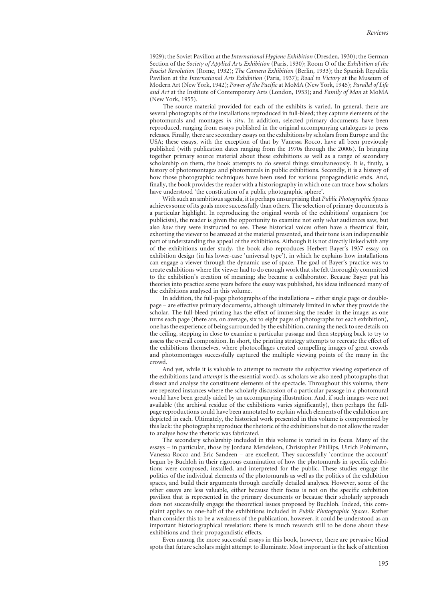1929); the Soviet Pavilion at the International Hygiene Exhibition (Dresden, 1930); the German Section of the Society of Applied Arts Exhibition (Paris, 1930); Room O of the Exhibition of the Fascist Revolution (Rome, 1932); The Camera Exhibition (Berlin, 1933); the Spanish Republic Pavilion at the International Arts Exhibition (Paris, 1937); Road to Victory at the Museum of Modern Art (New York, 1942); Power of the Pacific at MoMA (New York, 1945); Parallel of Life and Art at the Institute of Contemporary Arts (London, 1953); and Family of Man at MoMA (New York, 1955).

The source material provided for each of the exhibits is varied. In general, there are several photographs of the installations reproduced in full-bleed; they capture elements of the photomurals and montages in situ. In addition, selected primary documents have been reproduced, ranging from essays published in the original accompanying catalogues to press releases. Finally, there are secondary essays on the exhibitions by scholars from Europe and the USA; these essays, with the exception of that by Vanessa Rocco, have all been previously published (with publication dates ranging from the 1970s through the 2000s). In bringing together primary source material about these exhibitions as well as a range of secondary scholarship on them, the book attempts to do several things simultaneously. It is, firstly, a history of photomontages and photomurals in public exhibitions. Secondly, it is a history of how those photographic techniques have been used for various propagandistic ends. And, finally, the book provides the reader with a historiography in which one can trace how scholars have understood 'the constitution of a public photographic sphere'.

With such an ambitious agenda, it is perhaps unsurprising that Public Photographic Spaces achieves some of its goals more successfully than others. The selection of primary documents is a particular highlight. In reproducing the original words of the exhibitions' organisers (or publicists), the reader is given the opportunity to examine not only what audiences saw, but also how they were instructed to see. These historical voices often have a theatrical flair, exhorting the viewer to be amazed at the material presented, and their tone is an indispensable part of understanding the appeal of the exhibitions. Although it is not directly linked with any of the exhibitions under study, the book also reproduces Herbert Bayer's 1937 essay on exhibition design (in his lower-case 'universal type'), in which he explains how installations can engage a viewer through the dynamic use of space. The goal of Bayer's practice was to create exhibitions where the viewer had to do enough work that she felt thoroughly committed to the exhibition's creation of meaning; she became a collaborator. Because Bayer put his theories into practice some years before the essay was published, his ideas influenced many of the exhibitions analysed in this volume.

In addition, the full-page photographs of the installations – either single page or doublepage – are effective primary documents, although ultimately limited in what they provide the scholar. The full-bleed printing has the effect of immersing the reader in the image; as one turns each page (there are, on average, six to eight pages of photographs for each exhibition), one has the experience of being surrounded by the exhibition, craning the neck to see details on the ceiling, stepping in close to examine a particular passage and then stepping back to try to assess the overall composition. In short, the printing strategy attempts to recreate the effect of the exhibitions themselves, where photocollages created compelling images of great crowds and photomontages successfully captured the multiple viewing points of the many in the crowd.

And yet, while it is valuable to attempt to recreate the subjective viewing experience of the exhibitions (and attempt is the essential word), as scholars we also need photographs that dissect and analyse the constituent elements of the spectacle. Throughout this volume, there are repeated instances where the scholarly discussion of a particular passage in a photomural would have been greatly aided by an accompanying illustration. And, if such images were not available (the archival residue of the exhibitions varies significantly), then perhaps the fullpage reproductions could have been annotated to explain which elements of the exhibition are depicted in each. Ultimately, the historical work presented in this volume is compromised by this lack: the photographs reproduce the rhetoric of the exhibitions but do not allow the reader to analyse how the rhetoric was fabricated.

The secondary scholarship included in this volume is varied in its focus. Many of the essays – in particular, those by Jordana Mendelson, Christopher Phillips, Ulrich Pohlmann, Vanessa Rocco and Eric Sandeen – are excellent. They successfully 'continue the account' begun by Buchloh in their rigorous examination of how the photomurals in specific exhibitions were composed, installed, and interpreted for the public. These studies engage the politics of the individual elements of the photomurals as well as the politics of the exhibition spaces, and build their arguments through carefully detailed analyses. However, some of the other essays are less valuable, either because their focus is not on the specific exhibition pavilion that is represented in the primary documents or because their scholarly approach does not successfully engage the theoretical issues proposed by Buchloh. Indeed, this complaint applies to one-half of the exhibitions included in Public Photographic Spaces. Rather than consider this to be a weakness of the publication, however, it could be understood as an important historiographical revelation: there is much research still to be done about these exhibitions and their propagandistic effects.

Even among the more successful essays in this book, however, there are pervasive blind spots that future scholars might attempt to illuminate. Most important is the lack of attention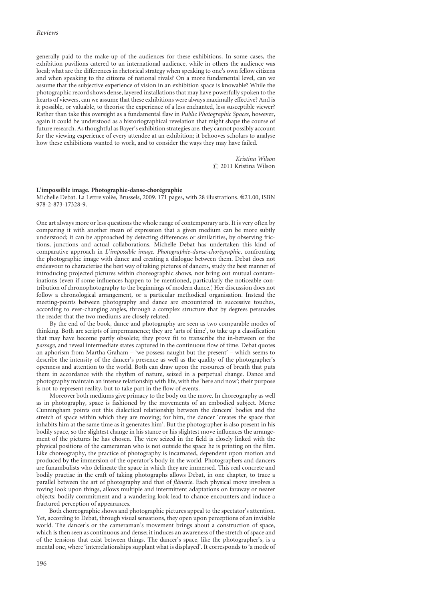generally paid to the make-up of the audiences for these exhibitions. In some cases, the exhibition pavilions catered to an international audience, while in others the audience was local; what are the differences in rhetorical strategy when speaking to one's own fellow citizens and when speaking to the citizens of national rivals? On a more fundamental level, can we assume that the subjective experience of vision in an exhibition space is knowable? While the photographic record shows dense, layered installations that may have powerfully spoken to the hearts of viewers, can we assume that these exhibitions were always maximally effective? And is it possible, or valuable, to theorise the experience of a less enchanted, less susceptible viewer? Rather than take this oversight as a fundamental flaw in Public Photographic Spaces, however, again it could be understood as a historiographical revelation that might shape the course of future research. As thoughtful as Bayer's exhibition strategies are, they cannot possibly account for the viewing experience of every attendee at an exhibition; it behooves scholars to analyse how these exhibitions wanted to work, and to consider the ways they may have failed.

> Kristina Wilson  $\odot$  2011 Kristina Wilson

#### L'impossible image. Photographie-danse-chorégraphie

Michelle Debat. La Lettre volée, Brussels, 2009. 171 pages, with 28 illustrations.  $\epsilon$ 21.00, ISBN 978-2-873-17328-9.

One art always more or less questions the whole range of contemporary arts. It is very often by comparing it with another mean of expression that a given medium can be more subtly understood; it can be approached by detecting differences or similarities, by observing frictions, junctions and actual collaborations. Michelle Debat has undertaken this kind of comparative approach in L'impossible image. Photographie-danse-chorégraphie, confronting the photographic image with dance and creating a dialogue between them. Debat does not endeavour to characterise the best way of taking pictures of dancers, study the best manner of introducing projected pictures within choreographic shows, nor bring out mutual contaminations (even if some influences happen to be mentioned, particularly the noticeable contribution of chronophotography to the beginnings of modern dance.) Her discussion does not follow a chronological arrangement, or a particular methodical organisation. Instead the meeting-points between photography and dance are encountered in successive touches, according to ever-changing angles, through a complex structure that by degrees persuades the reader that the two mediums are closely related.

By the end of the book, dance and photography are seen as two comparable modes of thinking. Both are scripts of impermanence; they are 'arts of time', to take up a classification that may have become partly obsolete; they prove fit to transcribe the in-between or the passage, and reveal intermediate states captured in the continuous flow of time. Debat quotes an aphorism from Martha Graham – 'we possess naught but the present' – which seems to describe the intensity of the dancer's presence as well as the quality of the photographer's openness and attention to the world. Both can draw upon the resources of breath that puts them in accordance with the rhythm of nature, seized in a perpetual change. Dance and photography maintain an intense relationship with life, with the 'here and now'; their purpose is not to represent reality, but to take part in the flow of events.

Moreover both mediums give primacy to the body on the move. In choreography as well as in photography, space is fashioned by the movements of an embodied subject. Merce Cunningham points out this dialectical relationship between the dancers' bodies and the stretch of space within which they are moving; for him, the dancer 'creates the space that inhabits him at the same time as it generates him'. But the photographer is also present in his bodily space, so the slightest change in his stance or his slightest move influences the arrangement of the pictures he has chosen. The view seized in the field is closely linked with the physical positions of the cameraman who is not outside the space he is printing on the film. Like choreography, the practice of photography is incarnated, dependent upon motion and produced by the immersion of the operator's body in the world. Photographers and dancers are funambulists who delineate the space in which they are immersed. This real concrete and bodily practise in the craft of taking photographs allows Debat, in one chapter, to trace a parallel between the art of photography and that of *flânerie*. Each physical move involves a roving look upon things, allows multiple and intermittent adaptations on faraway or nearer objects: bodily commitment and a wandering look lead to chance encounters and induce a fractured perception of appearances.

Both choreographic shows and photographic pictures appeal to the spectator's attention. Yet, according to Debat, through visual sensations, they open upon perceptions of an invisible world. The dancer's or the cameraman's movement brings about a construction of space, which is then seen as continuous and dense; it induces an awareness of the stretch of space and of the tensions that exist between things. The dancer's space, like the photographer's, is a mental one, where 'interrelationships supplant what is displayed'. It corresponds to 'a mode of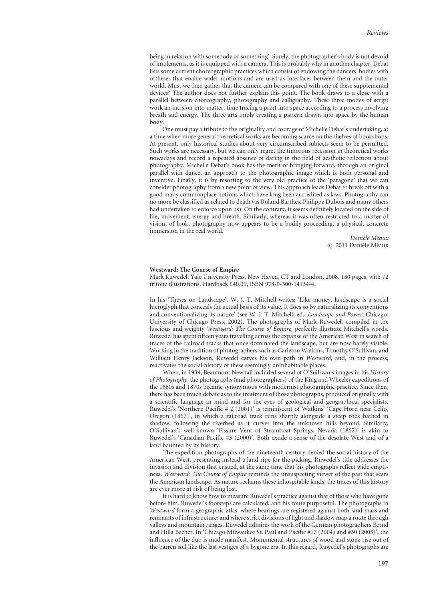being in relation with somebody or something'. Surely, the photographer's body is not devoid of implements, as it is equipped with a camera. This is probably why in another chapter, Debat lists some current choreographic practices which consist of endowing the dancers' bodies with ortheses that enable wider motions and are used as interfaces between them and the outer world. Must we then gather that the camera can be compared with one of these supplemental devices? The author does not further explain this point. The book draws to a close with a parallel between choreography, photography and calligraphy. These three modes of script work an incision into matter, time tracing a print into space according to a process involving breath and energy. The three arts imply creating a pattern drawn into space by the human body.

One must pay a tribute to the originality and courage of Michelle Debat's undertaking, at a time when more general theoretical works are becoming scarce on the shelves of bookshops. At present, only historical studies about very circumscribed subjects seem to be permitted. Such works are necessary, but we can only regret the timorous recession in theoretical works nowadays and record a repeated absence of daring in the field of aesthetic reflection about photography. Michelle Debat's book has the merit of bringing forward, through an original parallel with dance, an approach to the photographic image which is both personal and inventive. Finally, it is by resorting to the very old practice of the 'paragone' that we can consider photography from a new point of view. This approach leads Debat to break off with a good many commonplace notions which have long been accredited as laws. Photography can no more be classified as related to death (as Roland Barthes, Philippe Dubois and many others had undertaken to enforce upon us). On the contrary, it seems definitely located on the side of life, movement, energy and breath. Similarly, whereas it was often restricted to a matter of vision, of look, photography now appears to be a bodily proceeding, a physical, concrete immersion in the real world.

> Danièle Méaux  $\circled{c}$  2011 Danièle Méaux

#### Westward: The Course of Empire

Mark Ruwedel. Yale University Press, New Haven, CT and London, 2008. 180 pages, with 72 tritone illustrations. Hardback £40.00, ISBN 978-0-300-14134-4.

In his 'Theses on Landscape', W. J. T. Mitchell writes: 'Like money, landscape is a social hieroglyph that conceals the actual basis of its value. It does so by naturalizing its conventions and conventionalizing its nature' (see W. J. T. Mitchell, ed., Landscape and Power, Chicago: University of Chicago Press, 2002). The photographs of Mark Ruwedel, compiled in the luscious and weighty Westward: The Course of Empire, perfectly illustrate Mitchell's words. Ruwedel has spent fifteen years travelling across the expanse of the American West in search of traces of the railroad tracks that once dominated the landscape, but are now barely visible. Working in the tradition of photographers such as Carleton Watkins, Timothy O'Sullivan, and William Henry Jackson, Ruwedel carves his own path in Westward, and, in the process, reactivates the social history of these seemingly uninhabitable places.

When, in 1939, Beaumont Newhall included several of O'Sullivan's images in his History of Photography, the photographs (and photographers) of the King and Wheeler expeditions of the 1860s and 1870s became synonymous with modernist photographic practice. Since then, there has been much debate as to the treatment of those photographs, produced originally with a scientific language in mind and for the eyes of geological and geographical specialists. Ruwedel's 'Northern Pacific # 2 (2001)' is reminiscent of Watkins' 'Cape Horn near Celio, Oregon (1867)', in which a railroad track runs sharply alongside a steep rock bathed in shadow, following the riverbed as it curves into the unknown hills beyond. Similarly, O'Sullivan's well-known 'Fissure Vent of Steamboat Springs, Nevada (1867)' is akin to Ruwedel's 'Canadian Pacific #3 (2000)'. Both exude a sense of the desolate West and of a land haunted by its history.

The expedition photographs of the nineteenth century denied the social history of the American West, presenting instead a land ripe for the picking. Ruwedel's title addresses the invasion and division that ensued, at the same time that his photographs reflect wide emptiness. Westward: The Course of Empire reminds the unsuspecting viewer of the past that scars the American landscape. As nature reclaims these inhospitable lands, the traces of this history are ever more at risk of being lost.

It is hard to know how to measure Ruwedel's practice against that of those who have gone before him. Ruwedel's footsteps are calculated, and his route purposeful. The photographs in Westward form a geographic atlas, where bearings are registered against both land mass and remnants of infrastructure; and where strict divisions of light and shadow map a route through valleys and mountain ranges. Ruwedel admires the work of the German photographers Bernd and Hilla Becher. In 'Chicago Milwaukee St. Paul and Pacific #17 (2004) and #30 (2005)', the influence of the duo is made manifest. Monumental structures of wood and stone rise out of the barren soil like the last vestiges of a bygone era. In this regard, Ruwedel's photographs are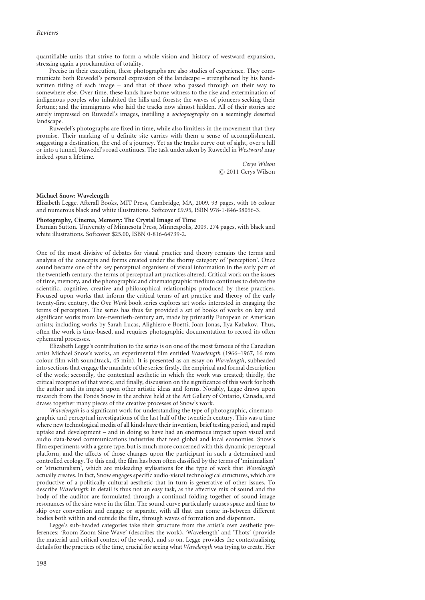quantifiable units that strive to form a whole vision and history of westward expansion, stressing again a proclamation of totality.

Precise in their execution, these photographs are also studies of experience. They communicate both Ruwedel's personal expression of the landscape – strengthened by his handwritten titling of each image – and that of those who passed through on their way to somewhere else. Over time, these lands have borne witness to the rise and extermination of indigenous peoples who inhabited the hills and forests; the waves of pioneers seeking their fortune; and the immigrants who laid the tracks now almost hidden. All of their stories are surely impressed on Ruwedel's images, instilling a *sociogeography* on a seemingly deserted landscape.

Ruwedel's photographs are fixed in time, while also limitless in the movement that they promise. Their marking of a definite site carries with them a sense of accomplishment, suggesting a destination, the end of a journey. Yet as the tracks curve out of sight, over a hill or into a tunnel, Ruwedel's road continues. The task undertaken by Ruwedel in Westward may indeed span a lifetime.

> Cerys Wilson C 2011 Cerys Wilson

#### Michael Snow: Wavelength

Elizabeth Legge. Afterall Books, MIT Press, Cambridge, MA, 2009. 93 pages, with 16 colour and numerous black and white illustrations. Softcover £9.95, ISBN 978-1-846-38056-3.

#### Photography, Cinema, Memory: The Crystal Image of Time

Damian Sutton. University of Minnesota Press, Minneapolis, 2009. 274 pages, with black and white illustrations. Softcover \$25.00, ISBN 0-816-64739-2.

One of the most divisive of debates for visual practice and theory remains the terms and analysis of the concepts and forms created under the thorny category of 'perception'. Once sound became one of the key perceptual organisers of visual information in the early part of the twentieth century, the terms of perceptual art practices altered. Critical work on the issues of time, memory, and the photographic and cinematographic medium continues to debate the scientific, cognitive, creative and philosophical relationships produced by these practices. Focused upon works that inform the critical terms of art practice and theory of the early twenty-first century, the One Work book series explores art works interested in engaging the terms of perception. The series has thus far provided a set of books of works on key and significant works from late-twentieth-century art, made by primarily European or American artists; including works by Sarah Lucas, Alighiero e Boetti, Joan Jonas, Ilya Kabakov. Thus, often the work is time-based, and requires photographic documentation to record its often ephemeral processes.

Elizabeth Legge's contribution to the series is on one of the most famous of the Canadian artist Michael Snow's works, an experimental film entitled Wavelength (1966–1967, 16 mm colour film with soundtrack, 45 min). It is presented as an essay on Wavelength, subheaded into sections that engage the mandate of the series: firstly, the empirical and formal description of the work; secondly, the contextual aesthetic in which the work was created; thirdly, the critical reception of that work; and finally, discussion on the significance of this work for both the author and its impact upon other artistic ideas and forms. Notably, Legge draws upon research from the Fonds Snow in the archive held at the Art Gallery of Ontario, Canada, and draws together many pieces of the creative processes of Snow's work.

Wavelength is a significant work for understanding the type of photographic, cinematographic and perceptual investigations of the last half of the twentieth century. This was a time where new technological media of all kinds have their invention, brief testing period, and rapid uptake and development – and in doing so have had an enormous impact upon visual and audio data-based communications industries that feed global and local economies. Snow's film experiments with a genre type, but is much more concerned with this dynamic perceptual platform, and the affects of those changes upon the participant in such a determined and controlled ecology. To this end, the film has been often classified by the terms of 'minimalism' or 'structuralism', which are misleading stylisations for the type of work that Wavelength actually creates. In fact, Snow engages specific audio-visual technological structures, which are productive of a politically cultural aesthetic that in turn is generative of other issues. To describe Wavelength in detail is thus not an easy task, as the affective mix of sound and the body of the auditor are formulated through a continual folding together of sound-image resonances of the sine wave in the film. The sound curve particularly causes space and time to skip over convention and engage or separate, with all that can come in-between different bodies both within and outside the film, through waves of formation and dispersion.

Legge's sub-headed categories take their structure from the artist's own aesthetic preferences: 'Room Zoom Sine Wave' (describes the work), 'Wavelength' and 'Thots' (provide the material and critical context of the work), and so on. Legge provides the contextualising details for the practices of the time, crucial for seeing what Wavelength was trying to create. Her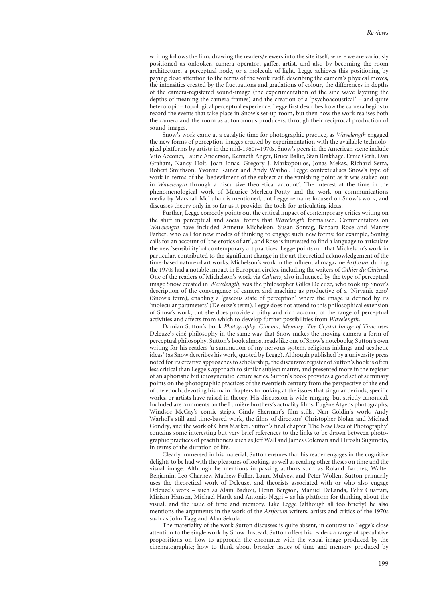writing follows the film, drawing the readers/viewers into the site itself, where we are variously positioned as onlooker, camera operator, gaffer, artist, and also by becoming the room architecture, a perceptual node, or a molecule of light. Legge achieves this positioning by paying close attention to the terms of the work itself, describing the camera's physical moves, the intensities created by the fluctuations and gradations of colour, the differences in depths of the camera-registered sound-image (the experimentation of the sine wave layering the depths of meaning the camera frames) and the creation of a 'psychoacoustical' – and quite heterotopic – topological perceptual experience. Legge first describes how the camera begins to record the events that take place in Snow's set-up room, but then how the work realises both the camera and the room as autonomous producers, through their reciprocal production of sound-images.

Snow's work came at a catalytic time for photographic practice, as Wavelength engaged the new forms of perception-images created by experimentation with the available technological platforms by artists in the mid-1960s–1970s. Snow's peers in the American scene include Vito Acconci, Laurie Anderson, Kenneth Anger, Bruce Ballie, Stan Brakhage, Ernie Gerh, Dan Graham, Nancy Holt, Joan Jonas, Gregory J. Markopoulos, Jonas Mekas, Richard Serra, Robert Smithson, Yvonne Rainer and Andy Warhol. Legge contextualises Snow's type of work in terms of the 'bedevilment of the subject at the vanishing point as it was staked out in Wavelength through a discursive theoretical account'. The interest at the time in the phenomenological work of Maurice Merleau-Ponty and the work on communications media by Marshall McLuhan is mentioned, but Legge remains focused on Snow's work, and discusses theory only in so far as it provides the tools for articulating ideas.

Further, Legge correctly points out the critical impact of contemporary critics writing on the shift in perceptual and social forms that Wavelength formalised. Commentators on Wavelength have included Annette Michelson, Susan Sontag, Barbara Rose and Manny Farber, who call for new modes of thinking to engage such new forms: for example, Sontag calls for an account of 'the erotics of art', and Rose is interested to find a language to articulate the new 'sensibility' of contemporary art practices. Legge points out that Michelson's work in particular, contributed to the significant change in the art theoretical acknowledgement of the time-based nature of art works. Michelson's work in the influential magazine Artforum during the 1970s had a notable impact in European circles, including the writers of Cahier du Cinéma. One of the readers of Michelson's work via Cahiers, also influenced by the type of perceptual image Snow created in Wavelength, was the philosopher Gilles Deleuze, who took up Snow's description of the convergence of camera and machine as productive of a 'Nirvanic zero' (Snow's term), enabling a 'gaseous state of perception' where the image is defined by its 'molecular parameters' (Deleuze's term). Legge does not attend to this philosophical extension of Snow's work, but she does provide a pithy and rich account of the range of perceptual activities and affects from which to develop further possibilities from Wavelength.

Damian Sutton's book Photography, Cinema, Memory: The Crystal Image of Time uses Deleuze's ciné-philosophy in the same way that Snow makes the moving camera a form of perceptual philosophy. Sutton's book almost reads like one of Snow's notebooks; Sutton's own writing for his readers 'a summation of my nervous system, religious inklings and aesthetic ideas' (as Snow describes his work, quoted by Legge). Although published by a university press noted for its creative approaches to scholarship, the discursive register of Sutton's book is often less critical than Legge's approach to similar subject matter, and presented more in the register of an aphoristic but idiosyncratic lecture series. Sutton's book provides a good set of summary points on the photographic practices of the twentieth century from the perspective of the end of the epoch, devoting his main chapters to looking at the issues that singular periods, specific works, or artists have raised in theory. His discussion is wide-ranging, but strictly canonical. Included are comments on the Lumière brothers's actuality films, Eugène Atget's photographs, Windsor McCay's comic strips, Cindy Sherman's film stills, Nan Goldin's work, Andy Warhol's still and time-based work, the films of directors' Christopher Nolan and Michael Gondry, and the work of Chris Marker. Sutton's final chapter 'The New Uses of Photography' contains some interesting but very brief references to the links to be drawn between photographic practices of practitioners such as Jeff Wall and James Coleman and Hiroshi Sugimoto, in terms of the duration of life.

Clearly immersed in his material, Sutton ensures that his reader engages in the cognitive delights to be had with the pleasures of looking, as well as reading other theses on time and the visual image. Although he mentions in passing authors such as Roland Barthes, Walter Benjamin, Leo Charney, Mathew Fuller, Laura Mulvey, and Peter Wollen, Sutton primarily uses the theoretical work of Deleuze, and theorists associated with or who also engage Deleuze's work - such as Alain Badiou, Henri Bergson, Manuel DeLanda, Félix Guattari, Miriam Hansen, Michael Hardt and Antonio Negri – as his platform for thinking about the visual, and the issue of time and memory. Like Legge (although all too briefly) he also mentions the arguments in the work of the Artforum writers, artists and critics of the 1970s such as John Tagg and Alan Sekula.

The materiality of the work Sutton discusses is quite absent, in contrast to Legge's close attention to the single work by Snow. Instead, Sutton offers his readers a range of speculative propositions on how to approach the encounter with the visual image produced by the cinematographic; how to think about broader issues of time and memory produced by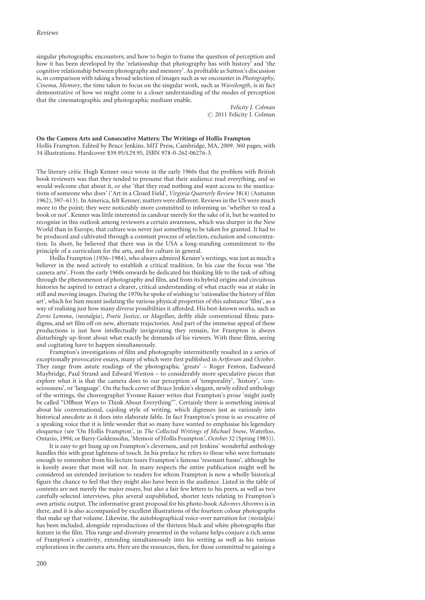singular photographic encounters; and how to begin to frame the question of perception and how it has been developed by the 'relationship that photography has with history' and 'the cognitive relationship between photography and memory'. As profitable as Sutton's discussion is, in comparison with taking a broad selection of images such as we encounter in Photography, Cinema, Memory, the time taken to focus on the singular work, such as Wavelength, is in fact demonstrative of how we might come to a closer understanding of the modes of perception that the cinematographic and photographic medium enable.

> Felicity J. Colman  $\odot$  2011 Felicity J. Colman

#### On the Camera Arts and Consecutive Matters: The Writings of Hollis Frampton Hollis Frampton. Edited by Bruce Jenkins. MIT Press, Cambridge, MA, 2009. 360 pages, with 34 illustrations. Hardcover \$39.95/£29.95, ISBN 978-0-262-06276-3.

The literary critic Hugh Kenner once wrote in the early 1960s that the problem with British book reviewers was that they tended to presume that their audience read everything, and so would welcome chat about it, or else 'that they read nothing and want access to the mastications of someone who does' ('Art in a Closed Field', Virginia Quarterly Review 38(4) (Autumn 1962), 597–613). In America, felt Kenner, matters were different. Reviews in the US were much more to the point; they were noticeably more committed to informing us 'whether to read a book or not'. Kenner was little interested in candour merely for the sake of it, but he wanted to recognise in this outlook among reviewers a certain awareness, which was sharper in the New World than in Europe, that culture was never just something to be taken for granted. It had to be produced and cultivated through a constant process of selection, exclusion and concentration. In short, he believed that there was in the USA a long-standing commitment to the principle of a curriculum for the arts, and for culture in general.

Hollis Frampton (1936–1984), who always admired Kenner's writings, was just as much a believer in the need actively to establish a critical tradition. In his case the focus was 'the camera arts'. From the early 1960s onwards he dedicated his thinking life to the task of sifting through the phenomenon of photography and film, and from its hybrid origins and circuitous histories he aspired to extract a clearer, critical understanding of what exactly was at stake in still and moving images. During the 1970s he spoke of wishing to 'rationalise the history of film art', which for him meant isolating the various physical properties of this substance 'film', as a way of realising just how many diverse possibilities it afforded. His best-known works, such as Zorns Lemma, (nostalgia), Poetic Justice, or Magellan, deftly elide conventional filmic paradigms, and set film off on new, alternate trajectories. And part of the immense appeal of these productions is just how intellectually invigorating they remain, for Frampton is always disturbingly up-front about what exactly he demands of his viewers. With these films, seeing and cogitating have to happen simultaneously.

Frampton's investigations of film and photography intermittently resulted in a series of exceptionally provocative essays, many of which were first published in Artforum and October. They range from astute readings of the photographic 'greats' – Roger Fenton, Eadweard Muybridge, Paul Strand and Edward Weston – to considerably more speculative pieces that explore what it is that the camera does to our perception of 'temporality', 'history', 'consciousness', or 'language'. On the back cover of Bruce Jenkin's elegant, newly edited anthology of the writings, the choreographer Yvonne Rainer writes that Frampton's prose 'might justly be called "Offbeat Ways to Think About Everything"'. Certainly there is something inimical about his conversational, cajoling style of writing, which digresses just as variously into historical anecdote as it does into elaborate fable. In fact Frampton's prose is so evocative of a speaking voice that it is little wonder that so many have wanted to emphasise his legendary eloquence (see 'On Hollis Frampton', in The Collected Writings of Michael Snow, Waterloo, Ontario, 1994; or Barry Goldensohn, 'Memoir of Hollis Frampton', October 32 (Spring 1985)).

It is easy to get hung up on Frampton's cleverness, and yet Jenkins' wonderful anthology handles this with great lightness of touch. In his preface he refers to those who were fortunate enough to remember from his lecture tours Frampton's famous 'resonant basso', although he is keenly aware that most will not. In many respects the entire publication might well be considered an extended invitation to readers for whom Frampton is now a wholly historical figure the chance to feel that they might also have been in the audience. Listed in the table of contents are not merely the major essays, but also a fair few letters to his peers, as well as two carefully-selected interviews, plus several unpublished, shorter texts relating to Frampton's own artistic output. The informative grant proposal for his photo-book Adsvmvs Absvmvs is in there, and it is also accompanied by excellent illustrations of the fourteen colour photographs that make up that volume. Likewise, the autobiographical voice-over narration for *(nostalgia)* has been included, alongside reproductions of the thirteen black and white photographs that feature in the film. This range and diversity presented in the volume helps conjure a rich sense of Frampton's creativity, extending simultaneously into his writing as well as his various explorations in the camera arts. Here are the resources, then, for those committed to gaining a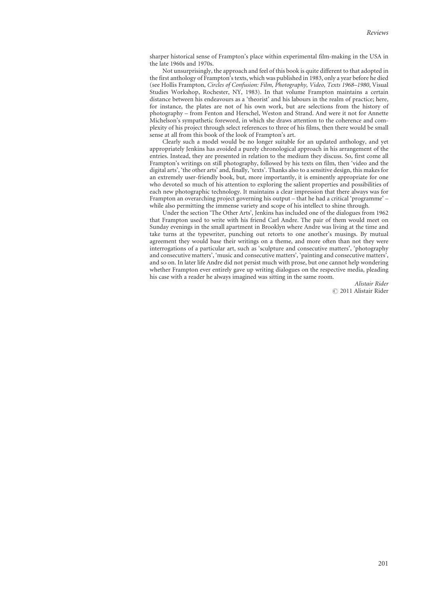sharper historical sense of Frampton's place within experimental film-making in the USA in the late 1960s and 1970s.

Not unsurprisingly, the approach and feel of this book is quite different to that adopted in the first anthology of Frampton's texts, which was published in 1983, only a year before he died (see Hollis Frampton, Circles of Confusion: Film, Photography, Video, Texts 1968–1980, Visual Studies Workshop, Rochester, NY, 1983). In that volume Frampton maintains a certain distance between his endeavours as a 'theorist' and his labours in the realm of practice; here, for instance, the plates are not of his own work, but are selections from the history of photography – from Fenton and Herschel, Weston and Strand. And were it not for Annette Michelson's sympathetic foreword, in which she draws attention to the coherence and complexity of his project through select references to three of his films, then there would be small sense at all from this book of the look of Frampton's art.

Clearly such a model would be no longer suitable for an updated anthology, and yet appropriately Jenkins has avoided a purely chronological approach in his arrangement of the entries. Instead, they are presented in relation to the medium they discuss. So, first come all Frampton's writings on still photography, followed by his texts on film, then 'video and the digital arts', 'the other arts' and, finally, 'texts'. Thanks also to a sensitive design, this makes for an extremely user-friendly book, but, more importantly, it is eminently appropriate for one who devoted so much of his attention to exploring the salient properties and possibilities of each new photographic technology. It maintains a clear impression that there always was for Frampton an overarching project governing his output – that he had a critical 'programme' – while also permitting the immense variety and scope of his intellect to shine through.

Under the section 'The Other Arts', Jenkins has included one of the dialogues from 1962 that Frampton used to write with his friend Carl Andre. The pair of them would meet on Sunday evenings in the small apartment in Brooklyn where Andre was living at the time and take turns at the typewriter, punching out retorts to one another's musings. By mutual agreement they would base their writings on a theme, and more often than not they were interrogations of a particular art, such as 'sculpture and consecutive matters', 'photography and consecutive matters', 'music and consecutive matters', 'painting and consecutive matters', and so on. In later life Andre did not persist much with prose, but one cannot help wondering whether Frampton ever entirely gave up writing dialogues on the respective media, pleading his case with a reader he always imagined was sitting in the same room.

Alistair Rider  $\odot$  2011 Alistair Rider